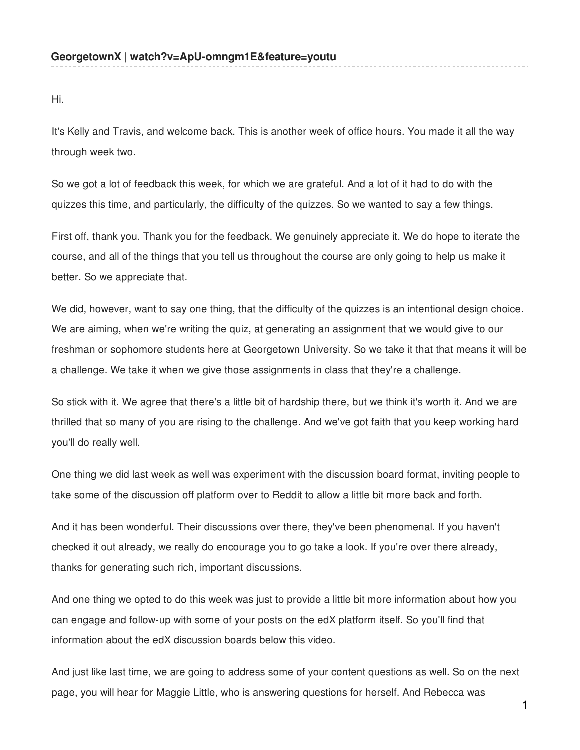Hi.

It's Kelly and Travis, and welcome back. This is another week of office hours. You made it all the way through week two.

So we got a lot of feedback this week, for which we are grateful. And a lot of it had to do with the quizzes this time, and particularly, the difficulty of the quizzes. So we wanted to say a few things.

First off, thank you. Thank you for the feedback. We genuinely appreciate it. We do hope to iterate the course, and all of the things that you tell us throughout the course are only going to help us make it better. So we appreciate that.

We did, however, want to say one thing, that the difficulty of the quizzes is an intentional design choice. We are aiming, when we're writing the quiz, at generating an assignment that we would give to our freshman or sophomore students here at Georgetown University. So we take it that that means it will be a challenge. We take it when we give those assignments in class that they're a challenge.

So stick with it. We agree that there's a little bit of hardship there, but we think it's worth it. And we are thrilled that so many of you are rising to the challenge. And we've got faith that you keep working hard you'll do really well.

One thing we did last week as well was experiment with the discussion board format, inviting people to take some of the discussion off platform over to Reddit to allow a little bit more back and forth.

And it has been wonderful. Their discussions over there, they've been phenomenal. If you haven't checked it out already, we really do encourage you to go take a look. If you're over there already, thanks for generating such rich, important discussions.

And one thing we opted to do this week was just to provide a little bit more information about how you can engage and follow-up with some of your posts on the edX platform itself. So you'll find that information about the edX discussion boards below this video.

And just like last time, we are going to address some of your content questions as well. So on the next page, you will hear for Maggie Little, who is answering questions for herself. And Rebecca was